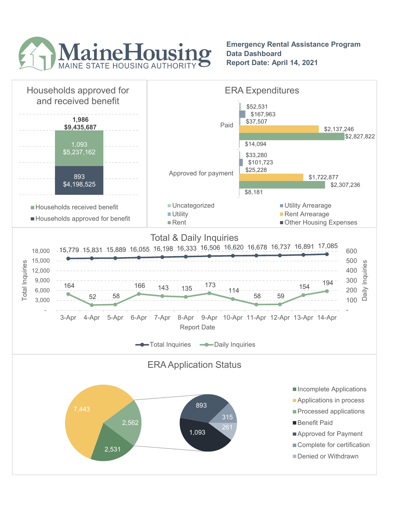